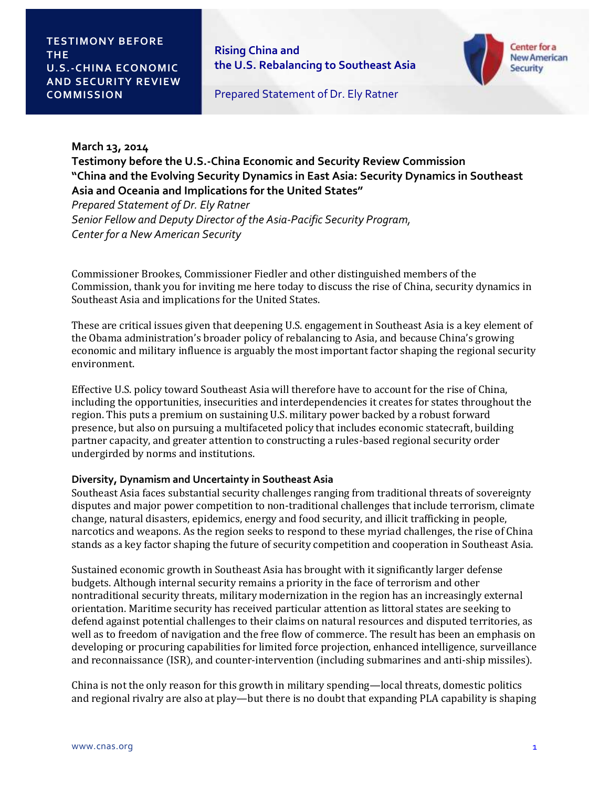**Rising China and the U.S. Rebalancing to Southeast Asia** 



Prepared Statement of Dr. Ely Ratner

## **March 13, 2014**

**Testimony before the U.S.-China Economic and Security Review Commission "China and the Evolving Security Dynamics in East Asia: Security Dynamics in Southeast Asia and Oceania and Implications for the United States"**

*Prepared Statement of Dr. Ely Ratner Senior Fellow and Deputy Director of the Asia-Pacific Security Program, Center for a New American Security*

Commissioner Brookes, Commissioner Fiedler and other distinguished members of the Commission, thank you for inviting me here today to discuss the rise of China, security dynamics in Southeast Asia and implications for the United States.

These are critical issues given that deepening U.S. engagement in Southeast Asia is a key element of the Obama administration's broader policy of rebalancing to Asia, and because China's growing economic and military influence is arguably the most important factor shaping the regional security environment.

Effective U.S. policy toward Southeast Asia will therefore have to account for the rise of China, including the opportunities, insecurities and interdependencies it creates for states throughout the region. This puts a premium on sustaining U.S. military power backed by a robust forward presence, but also on pursuing a multifaceted policy that includes economic statecraft, building partner capacity, and greater attention to constructing a rules-based regional security order undergirded by norms and institutions.

#### **Diversity, Dynamism and Uncertainty in Southeast Asia**

Southeast Asia faces substantial security challenges ranging from traditional threats of sovereignty disputes and major power competition to non-traditional challenges that include terrorism, climate change, natural disasters, epidemics, energy and food security, and illicit trafficking in people, narcotics and weapons. As the region seeks to respond to these myriad challenges, the rise of China stands as a key factor shaping the future of security competition and cooperation in Southeast Asia.

Sustained economic growth in Southeast Asia has brought with it significantly larger defense budgets. Although internal security remains a priority in the face of terrorism and other nontraditional security threats, military modernization in the region has an increasingly external orientation. Maritime security has received particular attention as littoral states are seeking to defend against potential challenges to their claims on natural resources and disputed territories, as well as to freedom of navigation and the free flow of commerce. The result has been an emphasis on developing or procuring capabilities for limited force projection, enhanced intelligence, surveillance and reconnaissance (ISR), and counter-intervention (including submarines and anti-ship missiles).

China is not the only reason for this growth in military spending—local threats, domestic politics and regional rivalry are also at play—but there is no doubt that expanding PLA capability is shaping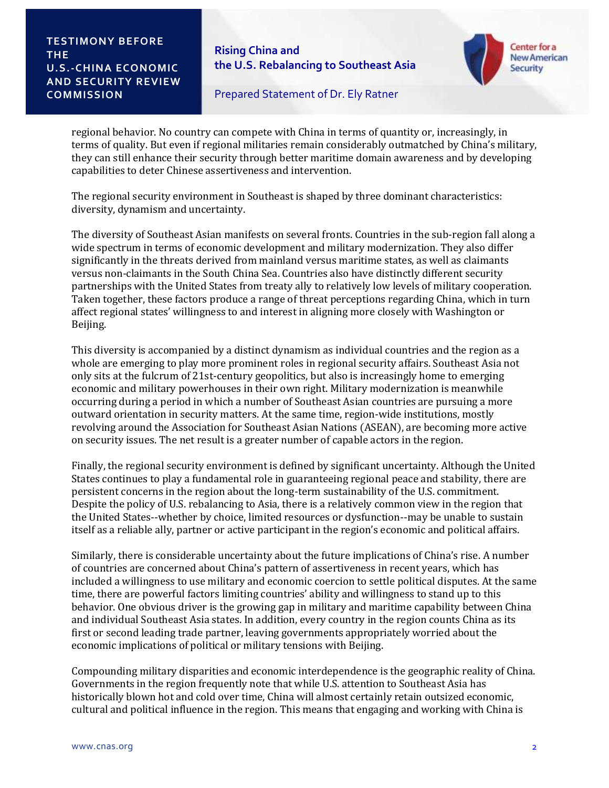**Rising China and the U.S. Rebalancing to Southeast Asia** 



Prepared Statement of Dr. Ely Ratner

regional behavior. No country can compete with China in terms of quantity or, increasingly, in terms of quality. But even if regional militaries remain considerably outmatched by China's military, they can still enhance their security through better maritime domain awareness and by developing capabilities to deter Chinese assertiveness and intervention.

The regional security environment in Southeast is shaped by three dominant characteristics: diversity, dynamism and uncertainty.

The diversity of Southeast Asian manifests on several fronts. Countries in the sub-region fall along a wide spectrum in terms of economic development and military modernization. They also differ significantly in the threats derived from mainland versus maritime states, as well as claimants versus non-claimants in the South China Sea. Countries also have distinctly different security partnerships with the United States from treaty ally to relatively low levels of military cooperation. Taken together, these factors produce a range of threat perceptions regarding China, which in turn affect regional states' willingness to and interest in aligning more closely with Washington or Beijing.

This diversity is accompanied by a distinct dynamism as individual countries and the region as a whole are emerging to play more prominent roles in regional security affairs. Southeast Asia not only sits at the fulcrum of 21st-century geopolitics, but also is increasingly home to emerging economic and military powerhouses in their own right. Military modernization is meanwhile occurring during a period in which a number of Southeast Asian countries are pursuing a more outward orientation in security matters. At the same time, region-wide institutions, mostly revolving around the Association for Southeast Asian Nations (ASEAN), are becoming more active on security issues. The net result is a greater number of capable actors in the region.

Finally, the regional security environment is defined by significant uncertainty. Although the United States continues to play a fundamental role in guaranteeing regional peace and stability, there are persistent concerns in the region about the long-term sustainability of the U.S. commitment. Despite the policy of U.S. rebalancing to Asia, there is a relatively common view in the region that the United States--whether by choice, limited resources or dysfunction--may be unable to sustain itself as a reliable ally, partner or active participant in the region's economic and political affairs.

Similarly, there is considerable uncertainty about the future implications of China's rise. A number of countries are concerned about China's pattern of assertiveness in recent years, which has included a willingness to use military and economic coercion to settle political disputes. At the same time, there are powerful factors limiting countries' ability and willingness to stand up to this behavior. One obvious driver is the growing gap in military and maritime capability between China and individual Southeast Asia states. In addition, every country in the region counts China as its first or second leading trade partner, leaving governments appropriately worried about the economic implications of political or military tensions with Beijing.

Compounding military disparities and economic interdependence is the geographic reality of China. Governments in the region frequently note that while U.S. attention to Southeast Asia has historically blown hot and cold over time, China will almost certainly retain outsized economic, cultural and political influence in the region. This means that engaging and working with China is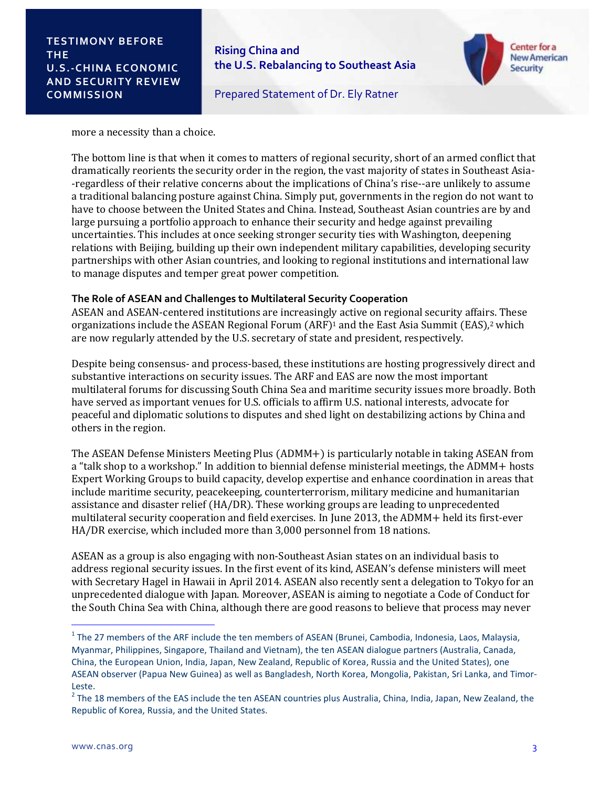**Rising China and the U.S. Rebalancing to Southeast Asia** 



Prepared Statement of Dr. Ely Ratner

#### more a necessity than a choice.

The bottom line is that when it comes to matters of regional security, short of an armed conflict that dramatically reorients the security order in the region, the vast majority of states in Southeast Asia- -regardless of their relative concerns about the implications of China's rise--are unlikely to assume a traditional balancing posture against China. Simply put, governments in the region do not want to have to choose between the United States and China. Instead, Southeast Asian countries are by and large pursuing a portfolio approach to enhance their security and hedge against prevailing uncertainties. This includes at once seeking stronger security ties with Washington, deepening relations with Beijing, building up their own independent military capabilities, developing security partnerships with other Asian countries, and looking to regional institutions and international law to manage disputes and temper great power competition.

#### **The Role of ASEAN and Challenges to Multilateral Security Cooperation**

ASEAN and ASEAN-centered institutions are increasingly active on regional security affairs. These organizations include the ASEAN Regional Forum  $(ARF)^1$  and the East Asia Summit (EAS),<sup>2</sup> which are now regularly attended by the U.S. secretary of state and president, respectively.

Despite being consensus- and process-based, these institutions are hosting progressively direct and substantive interactions on security issues. The ARF and EAS are now the most important multilateral forums for discussing South China Sea and maritime security issues more broadly. Both have served as important venues for U.S. officials to affirm U.S. national interests, advocate for peaceful and diplomatic solutions to disputes and shed light on destabilizing actions by China and others in the region.

The ASEAN Defense Ministers Meeting Plus (ADMM+) is particularly notable in taking ASEAN from a "talk shop to a workshop." In addition to biennial defense ministerial meetings, the ADMM+ hosts Expert Working Groups to build capacity, develop expertise and enhance coordination in areas that include maritime security, peacekeeping, counterterrorism, military medicine and humanitarian assistance and disaster relief (HA/DR). These working groups are leading to unprecedented multilateral security cooperation and field exercises. In June 2013, the ADMM+ held its first-ever HA/DR exercise, which included more than 3,000 personnel from 18 nations.

ASEAN as a group is also engaging with non-Southeast Asian states on an individual basis to address regional security issues. In the first event of its kind, ASEAN's defense ministers will meet with Secretary Hagel in Hawaii in April 2014. ASEAN also recently sent a delegation to Tokyo for an unprecedented dialogue with Japan. Moreover, ASEAN is aiming to negotiate a Code of Conduct for the South China Sea with China, although there are good reasons to believe that process may never

l

 $1$  The 27 members of the ARF include the ten members of ASEAN (Brunei, Cambodia, Indonesia, Laos, Malaysia, Myanmar, Philippines, Singapore, Thailand and Vietnam), the ten ASEAN dialogue partners (Australia, Canada, China, the European Union, India, Japan, New Zealand, Republic of Korea, Russia and the United States), one ASEAN observer (Papua New Guinea) as well as Bangladesh, North Korea, Mongolia, Pakistan, Sri Lanka, and Timor-Leste.

 $2$  The 18 members of the EAS include the ten ASEAN countries plus Australia, China, India, Japan, New Zealand, the Republic of Korea, Russia, and the United States.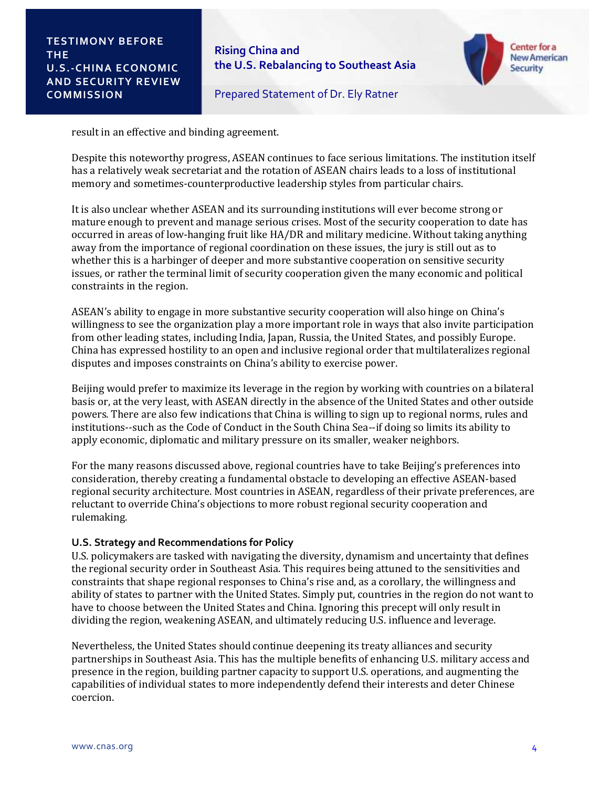**Rising China and the U.S. Rebalancing to Southeast Asia** 



Prepared Statement of Dr. Ely Ratner

result in an effective and binding agreement.

Despite this noteworthy progress, ASEAN continues to face serious limitations. The institution itself has a relatively weak secretariat and the rotation of ASEAN chairs leads to a loss of institutional memory and sometimes-counterproductive leadership styles from particular chairs.

It is also unclear whether ASEAN and its surrounding institutions will ever become strong or mature enough to prevent and manage serious crises. Most of the security cooperation to date has occurred in areas of low-hanging fruit like HA/DR and military medicine. Without taking anything away from the importance of regional coordination on these issues, the jury is still out as to whether this is a harbinger of deeper and more substantive cooperation on sensitive security issues, or rather the terminal limit of security cooperation given the many economic and political constraints in the region.

ASEAN's ability to engage in more substantive security cooperation will also hinge on China's willingness to see the organization play a more important role in ways that also invite participation from other leading states, including India, Japan, Russia, the United States, and possibly Europe. China has expressed hostility to an open and inclusive regional order that multilateralizes regional disputes and imposes constraints on China's ability to exercise power.

Beijing would prefer to maximize its leverage in the region by working with countries on a bilateral basis or, at the very least, with ASEAN directly in the absence of the United States and other outside powers. There are also few indications that China is willing to sign up to regional norms, rules and institutions--such as the Code of Conduct in the South China Sea--if doing so limits its ability to apply economic, diplomatic and military pressure on its smaller, weaker neighbors.

For the many reasons discussed above, regional countries have to take Beijing's preferences into consideration, thereby creating a fundamental obstacle to developing an effective ASEAN-based regional security architecture. Most countries in ASEAN, regardless of their private preferences, are reluctant to override China's objections to more robust regional security cooperation and rulemaking.

# **U.S. Strategy and Recommendations for Policy**

U.S. policymakers are tasked with navigating the diversity, dynamism and uncertainty that defines the regional security order in Southeast Asia. This requires being attuned to the sensitivities and constraints that shape regional responses to China's rise and, as a corollary, the willingness and ability of states to partner with the United States. Simply put, countries in the region do not want to have to choose between the United States and China. Ignoring this precept will only result in dividing the region, weakening ASEAN, and ultimately reducing U.S. influence and leverage.

Nevertheless, the United States should continue deepening its treaty alliances and security partnerships in Southeast Asia. This has the multiple benefits of enhancing U.S. military access and presence in the region, building partner capacity to support U.S. operations, and augmenting the capabilities of individual states to more independently defend their interests and deter Chinese coercion.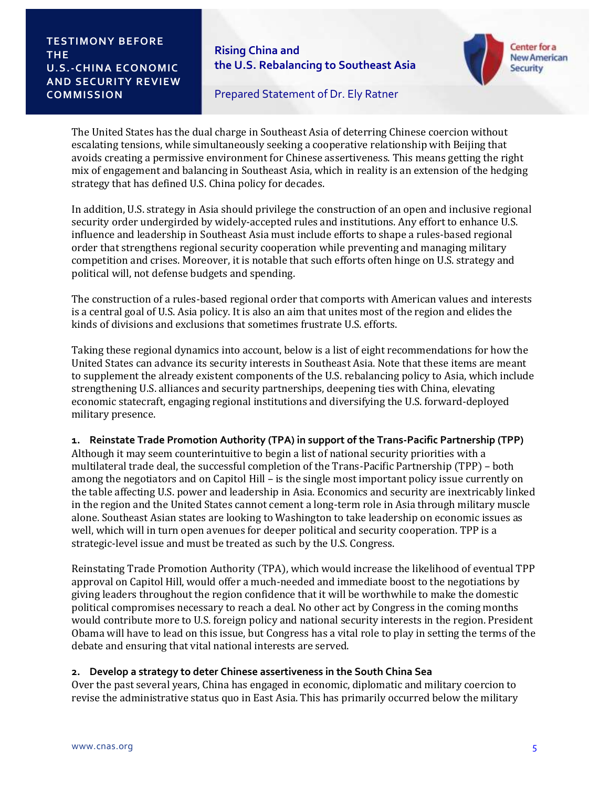**Rising China and the U.S. Rebalancing to Southeast Asia** 



Prepared Statement of Dr. Ely Ratner

The United States has the dual charge in Southeast Asia of deterring Chinese coercion without escalating tensions, while simultaneously seeking a cooperative relationship with Beijing that avoids creating a permissive environment for Chinese assertiveness. This means getting the right mix of engagement and balancing in Southeast Asia, which in reality is an extension of the hedging strategy that has defined U.S. China policy for decades.

In addition, U.S. strategy in Asia should privilege the construction of an open and inclusive regional security order undergirded by widely-accepted rules and institutions. Any effort to enhance U.S. influence and leadership in Southeast Asia must include efforts to shape a rules-based regional order that strengthens regional security cooperation while preventing and managing military competition and crises. Moreover, it is notable that such efforts often hinge on U.S. strategy and political will, not defense budgets and spending.

The construction of a rules-based regional order that comports with American values and interests is a central goal of U.S. Asia policy. It is also an aim that unites most of the region and elides the kinds of divisions and exclusions that sometimes frustrate U.S. efforts.

Taking these regional dynamics into account, below is a list of eight recommendations for how the United States can advance its security interests in Southeast Asia. Note that these items are meant to supplement the already existent components of the U.S. rebalancing policy to Asia, which include strengthening U.S. alliances and security partnerships, deepening ties with China, elevating economic statecraft, engaging regional institutions and diversifying the U.S. forward-deployed military presence.

#### **1. Reinstate Trade Promotion Authority (TPA) in support of the Trans-Pacific Partnership (TPP)**

Although it may seem counterintuitive to begin a list of national security priorities with a multilateral trade deal, the successful completion of the Trans-Pacific Partnership (TPP) – both among the negotiators and on Capitol Hill – is the single most important policy issue currently on the table affecting U.S. power and leadership in Asia. Economics and security are inextricably linked in the region and the United States cannot cement a long-term role in Asia through military muscle alone. Southeast Asian states are looking to Washington to take leadership on economic issues as well, which will in turn open avenues for deeper political and security cooperation. TPP is a strategic-level issue and must be treated as such by the U.S. Congress.

Reinstating Trade Promotion Authority (TPA), which would increase the likelihood of eventual TPP approval on Capitol Hill, would offer a much-needed and immediate boost to the negotiations by giving leaders throughout the region confidence that it will be worthwhile to make the domestic political compromises necessary to reach a deal. No other act by Congress in the coming months would contribute more to U.S. foreign policy and national security interests in the region. President Obama will have to lead on this issue, but Congress has a vital role to play in setting the terms of the debate and ensuring that vital national interests are served.

# **2. Develop a strategy to deter Chinese assertiveness in the South China Sea**

Over the past several years, China has engaged in economic, diplomatic and military coercion to revise the administrative status quo in East Asia. This has primarily occurred below the military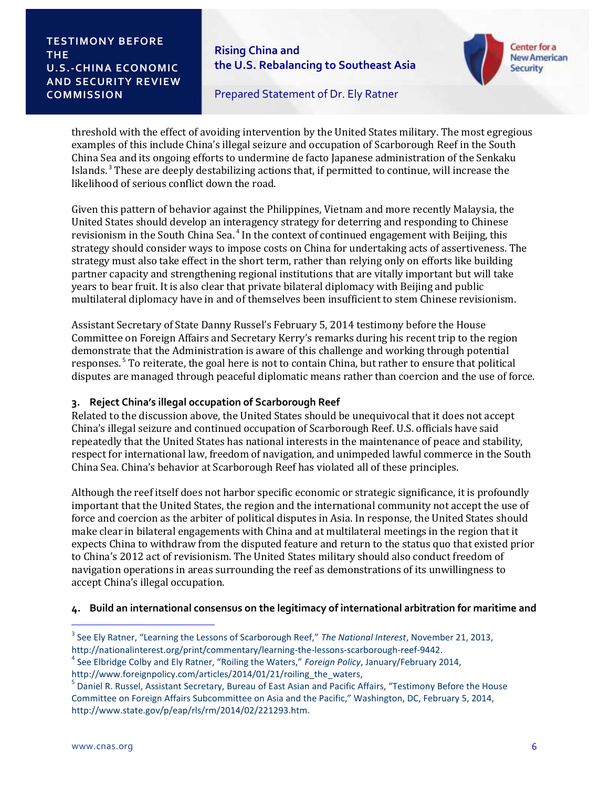**Rising China and the U.S. Rebalancing to Southeast Asia** 



Prepared Statement of Dr. Ely Ratner

threshold with the effect of avoiding intervention by the United States military. The most egregious examples of this include China's illegal seizure and occupation of Scarborough Reef in the South China Sea and its ongoing efforts to undermine de facto Japanese administration of the Senkaku Islands.<sup>3</sup> These are deeply destabilizing actions that, if permitted to continue, will increase the likelihood of serious conflict down the road.

Given this pattern of behavior against the Philippines, Vietnam and more recently Malaysia, the United States should develop an interagency strategy for deterring and responding to Chinese revisionism in the South China Sea.<sup>4</sup> In the context of continued engagement with Beijing, this strategy should consider ways to impose costs on China for undertaking acts of assertiveness. The strategy must also take effect in the short term, rather than relying only on efforts like building partner capacity and strengthening regional institutions that are vitally important but will take years to bear fruit. It is also clear that private bilateral diplomacy with Beijing and public multilateral diplomacy have in and of themselves been insufficient to stem Chinese revisionism.

Assistant Secretary of State Danny Russel's February 5, 2014 testimony before the House Committee on Foreign Affairs and Secretary Kerry's remarks during his recent trip to the region demonstrate that the Administration is aware of this challenge and working through potential responses.<sup>5</sup> To reiterate, the goal here is not to contain China, but rather to ensure that political disputes are managed through peaceful diplomatic means rather than coercion and the use of force.

# **3. Reject China's illegal occupation of Scarborough Reef**

Related to the discussion above, the United States should be unequivocal that it does not accept China's illegal seizure and continued occupation of Scarborough Reef. U.S. officials have said repeatedly that the United States has national interests in the maintenance of peace and stability, respect for international law, freedom of navigation, and unimpeded lawful commerce in the South China Sea. China's behavior at Scarborough Reef has violated all of these principles.

Although the reef itself does not harbor specific economic or strategic significance, it is profoundly important that the United States, the region and the international community not accept the use of force and coercion as the arbiter of political disputes in Asia. In response, the United States should make clear in bilateral engagements with China and at multilateral meetings in the region that it expects China to withdraw from the disputed feature and return to the status quo that existed prior to China's 2012 act of revisionism. The United States military should also conduct freedom of navigation operations in areas surrounding the reef as demonstrations of its unwillingness to accept China's illegal occupation.

# **4. Build an international consensus on the legitimacy of international arbitration for maritime and**

l

<sup>3</sup> See Ely Ratner, "Learning the Lessons of Scarborough Reef," *The National Interest*, November 21, 2013, http://nationalinterest.org/print/commentary/learning-the-lessons-scarborough-reef-9442.

<sup>4</sup> See Elbridge Colby and Ely Ratner, "Roiling the Waters," *Foreign Policy*, January/February 2014,

http://www.foreignpolicy.com/articles/2014/01/21/roiling the waters,

<sup>&</sup>lt;sup>5</sup> Daniel R. Russel, Assistant Secretary, Bureau of East Asian and Pacific Affairs, "Testimony Before the House Committee on Foreign Affairs Subcommittee on Asia and the Pacific," Washington, DC, February 5, 2014, http://www.state.gov/p/eap/rls/rm/2014/02/221293.htm.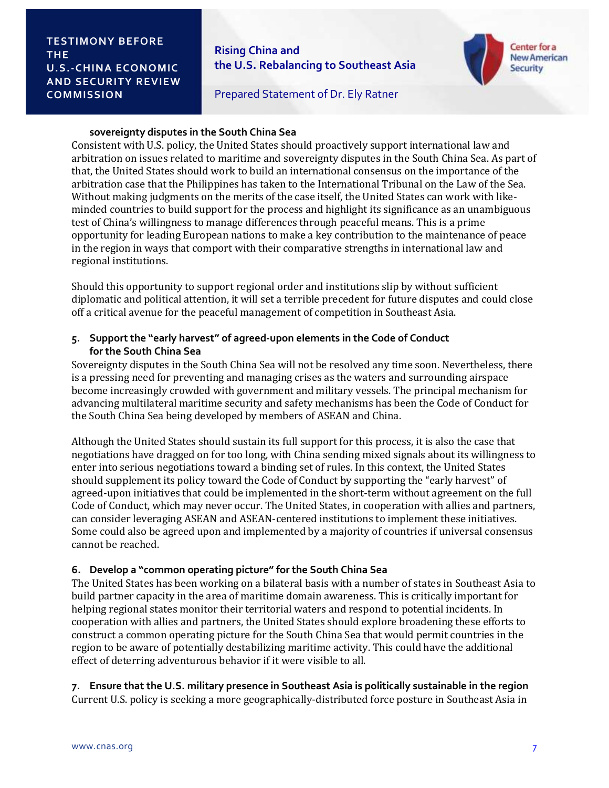**Rising China and the U.S. Rebalancing to Southeast Asia** 



Prepared Statement of Dr. Ely Ratner

#### **sovereignty disputes in the South China Sea**

Consistent with U.S. policy, the United States should proactively support international law and arbitration on issues related to maritime and sovereignty disputes in the South China Sea. As part of that, the United States should work to build an international consensus on the importance of the arbitration case that the Philippines has taken to the International Tribunal on the Law of the Sea. Without making judgments on the merits of the case itself, the United States can work with likeminded countries to build support for the process and highlight its significance as an unambiguous test of China's willingness to manage differences through peaceful means. This is a prime opportunity for leading European nations to make a key contribution to the maintenance of peace in the region in ways that comport with their comparative strengths in international law and regional institutions.

Should this opportunity to support regional order and institutions slip by without sufficient diplomatic and political attention, it will set a terrible precedent for future disputes and could close off a critical avenue for the peaceful management of competition in Southeast Asia.

## **5. Support the "early harvest" of agreed-upon elements in the Code of Conduct for the South China Sea**

Sovereignty disputes in the South China Sea will not be resolved any time soon. Nevertheless, there is a pressing need for preventing and managing crises as the waters and surrounding airspace become increasingly crowded with government and military vessels. The principal mechanism for advancing multilateral maritime security and safety mechanisms has been the Code of Conduct for the South China Sea being developed by members of ASEAN and China.

Although the United States should sustain its full support for this process, it is also the case that negotiations have dragged on for too long, with China sending mixed signals about its willingness to enter into serious negotiations toward a binding set of rules. In this context, the United States should supplement its policy toward the Code of Conduct by supporting the "early harvest" of agreed-upon initiatives that could be implemented in the short-term without agreement on the full Code of Conduct, which may never occur. The United States, in cooperation with allies and partners, can consider leveraging ASEAN and ASEAN-centered institutions to implement these initiatives. Some could also be agreed upon and implemented by a majority of countries if universal consensus cannot be reached.

#### **6. Develop a "common operating picture" for the South China Sea**

The United States has been working on a bilateral basis with a number of states in Southeast Asia to build partner capacity in the area of maritime domain awareness. This is critically important for helping regional states monitor their territorial waters and respond to potential incidents. In cooperation with allies and partners, the United States should explore broadening these efforts to construct a common operating picture for the South China Sea that would permit countries in the region to be aware of potentially destabilizing maritime activity. This could have the additional effect of deterring adventurous behavior if it were visible to all.

#### **7. Ensure that the U.S. military presence in Southeast Asia is politically sustainable in the region** Current U.S. policy is seeking a more geographically-distributed force posture in Southeast Asia in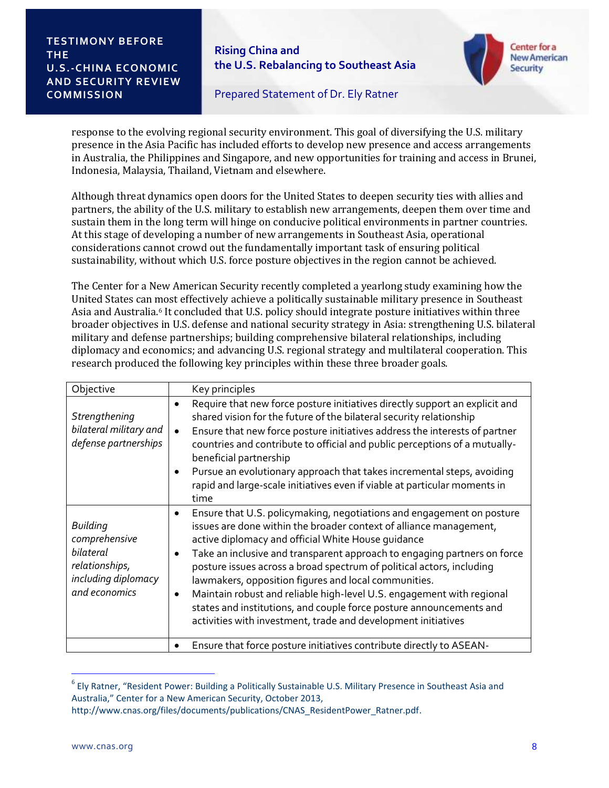**Rising China and the U.S. Rebalancing to Southeast Asia** 



Prepared Statement of Dr. Ely Ratner

response to the evolving regional security environment. This goal of diversifying the U.S. military presence in the Asia Pacific has included efforts to develop new presence and access arrangements in Australia, the Philippines and Singapore, and new opportunities for training and access in Brunei, Indonesia, Malaysia, Thailand, Vietnam and elsewhere.

Although threat dynamics open doors for the United States to deepen security ties with allies and partners, the ability of the U.S. military to establish new arrangements, deepen them over time and sustain them in the long term will hinge on conducive political environments in partner countries. At this stage of developing a number of new arrangements in Southeast Asia, operational considerations cannot crowd out the fundamentally important task of ensuring political sustainability, without which U.S. force posture objectives in the region cannot be achieved.

The Center for a New American Security recently completed a yearlong study examining how the United States can most effectively achieve a politically sustainable military presence in Southeast Asia and Australia. <sup>6</sup> It concluded that U.S. policy should integrate posture initiatives within three broader objectives in U.S. defense and national security strategy in Asia: strengthening U.S. bilateral military and defense partnerships; building comprehensive bilateral relationships, including diplomacy and economics; and advancing U.S. regional strategy and multilateral cooperation. This research produced the following key principles within these three broader goals.

| Objective                                                                                               | Key principles                                                                                                                                                                                                                                                                                                                                                                                                                                                                                                                                                                                                                                            |
|---------------------------------------------------------------------------------------------------------|-----------------------------------------------------------------------------------------------------------------------------------------------------------------------------------------------------------------------------------------------------------------------------------------------------------------------------------------------------------------------------------------------------------------------------------------------------------------------------------------------------------------------------------------------------------------------------------------------------------------------------------------------------------|
| Strengthening<br>bilateral military and<br>defense partnerships                                         | Require that new force posture initiatives directly support an explicit and<br>shared vision for the future of the bilateral security relationship<br>Ensure that new force posture initiatives address the interests of partner<br>$\bullet$<br>countries and contribute to official and public perceptions of a mutually-<br>beneficial partnership<br>Pursue an evolutionary approach that takes incremental steps, avoiding<br>٠<br>rapid and large-scale initiatives even if viable at particular moments in<br>time                                                                                                                                 |
| <b>Building</b><br>comprehensive<br>bilateral<br>relationships,<br>including diplomacy<br>and economics | Ensure that U.S. policymaking, negotiations and engagement on posture<br>$\bullet$<br>issues are done within the broader context of alliance management,<br>active diplomacy and official White House guidance<br>Take an inclusive and transparent approach to engaging partners on force<br>posture issues across a broad spectrum of political actors, including<br>lawmakers, opposition figures and local communities.<br>Maintain robust and reliable high-level U.S. engagement with regional<br>$\bullet$<br>states and institutions, and couple force posture announcements and<br>activities with investment, trade and development initiatives |
|                                                                                                         | Ensure that force posture initiatives contribute directly to ASEAN-                                                                                                                                                                                                                                                                                                                                                                                                                                                                                                                                                                                       |

<sup>&</sup>lt;sup>6</sup> Ely Ratner, "Resident Power: Building a Politically Sustainable U.S. Military Presence in Southeast Asia and Australia," Center for a New American Security, October 2013,

j

http://www.cnas.org/files/documents/publications/CNAS\_ResidentPower\_Ratner.pdf.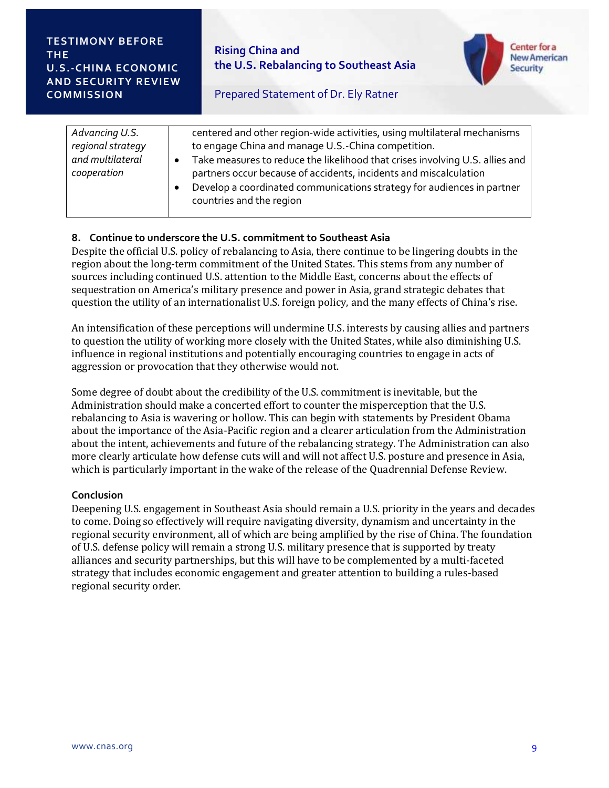

# Prepared Statement of Dr. Ely Ratner

# **8. Continue to underscore the U.S. commitment to Southeast Asia**

Despite the official U.S. policy of rebalancing to Asia, there continue to be lingering doubts in the region about the long-term commitment of the United States. This stems from any number of sources including continued U.S. attention to the Middle East, concerns about the effects of sequestration on America's military presence and power in Asia, grand strategic debates that question the utility of an internationalist U.S. foreign policy, and the many effects of China's rise.

An intensification of these perceptions will undermine U.S. interests by causing allies and partners to question the utility of working more closely with the United States, while also diminishing U.S. influence in regional institutions and potentially encouraging countries to engage in acts of aggression or provocation that they otherwise would not.

Some degree of doubt about the credibility of the U.S. commitment is inevitable, but the Administration should make a concerted effort to counter the misperception that the U.S. rebalancing to Asia is wavering or hollow. This can begin with statements by President Obama about the importance of the Asia-Pacific region and a clearer articulation from the Administration about the intent, achievements and future of the rebalancing strategy. The Administration can also more clearly articulate how defense cuts will and will not affect U.S. posture and presence in Asia, which is particularly important in the wake of the release of the Quadrennial Defense Review.

# **Conclusion**

Deepening U.S. engagement in Southeast Asia should remain a U.S. priority in the years and decades to come. Doing so effectively will require navigating diversity, dynamism and uncertainty in the regional security environment, all of which are being amplified by the rise of China. The foundation of U.S. defense policy will remain a strong U.S. military presence that is supported by treaty alliances and security partnerships, but this will have to be complemented by a multi-faceted strategy that includes economic engagement and greater attention to building a rules-based regional security order.